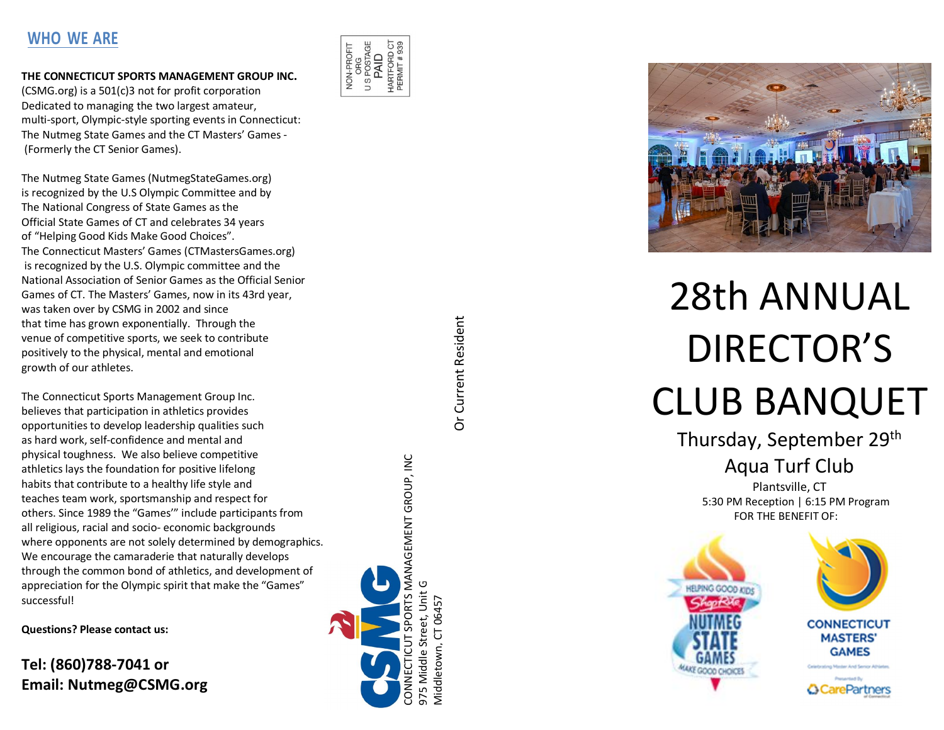# **WHO WE ARE**

### **THE CONNECTICUT SPORTS MANAGEMENT GROUP INC.**

(CSMG.org) is a 501(c)3 not for profit corporation Dedicated to managing the two largest amateur, multi-sport, Olympic-style sporting events in Connecticut: The Nutmeg State Games and the CT Masters ' Games - (Formerly the CT Senior Games).

The Nutmeg State Games (NutmegStateGames.org) is recognized by the U.S Olympic Committee and by The National Congress of State Games as the Official State Games of CT and celebrates 3 4 years of "Helping Good Kids Make Good Choices " . The Connecticut Masters ' Games (CTMastersGames.org) is recognized by the U.S. Olympic committee and the National Association of Senior Games as the Official Senior Games of CT. The Masters ' Games, now in its 43rd year, was taken over by CSMG in 2002 and since that time has grown exponentially. Through the venue of competitive sports, we seek to contribute positively to the physical, mental and emotional growth of our athletes.

The Connecticut Sports Management Group Inc. believes that participation in athletics provides opportunities to develop leadership qualities such as hard work, self -confidence and mental and physical toughness. We also believe competitive athletics lays the foundation for positive lifelong habits that contribute to a healthy life style and teaches team work, sportsmanship and respect for others. Since 1989 the "Games'" include participantsfrom all religious, racial and socio - economic backgrounds where opponents are not solely determined by demographics. We encourage the camaraderie that naturally develops through the common bond of athletics, and development of appreciation for the Olympic spirit that make the "Games " successful!

**Questions? Please contact us:**

**Tel: (860)788 -7041 or Email: Nutmeg@CSMG.org** 





# 2 8th ANNUAL DIRECTOR 'S CLUB BANQUET

Thursday, September 29th Aqua Turf Club

> Plantsville, CT 5:30 PM Reception | 6:15 PM Program FOR THE BENEFIT OF:



**Or Current Resident** Or Current Resident

CONNECTICUT SPORTS MANAGEMENT GROUP, INC.

PORTS MANAGEMENT GROUP, INC

975 Middle Street, Unit G Middletown, CT 06457

5 Middle

**Aiddletown** 

eet, Unit